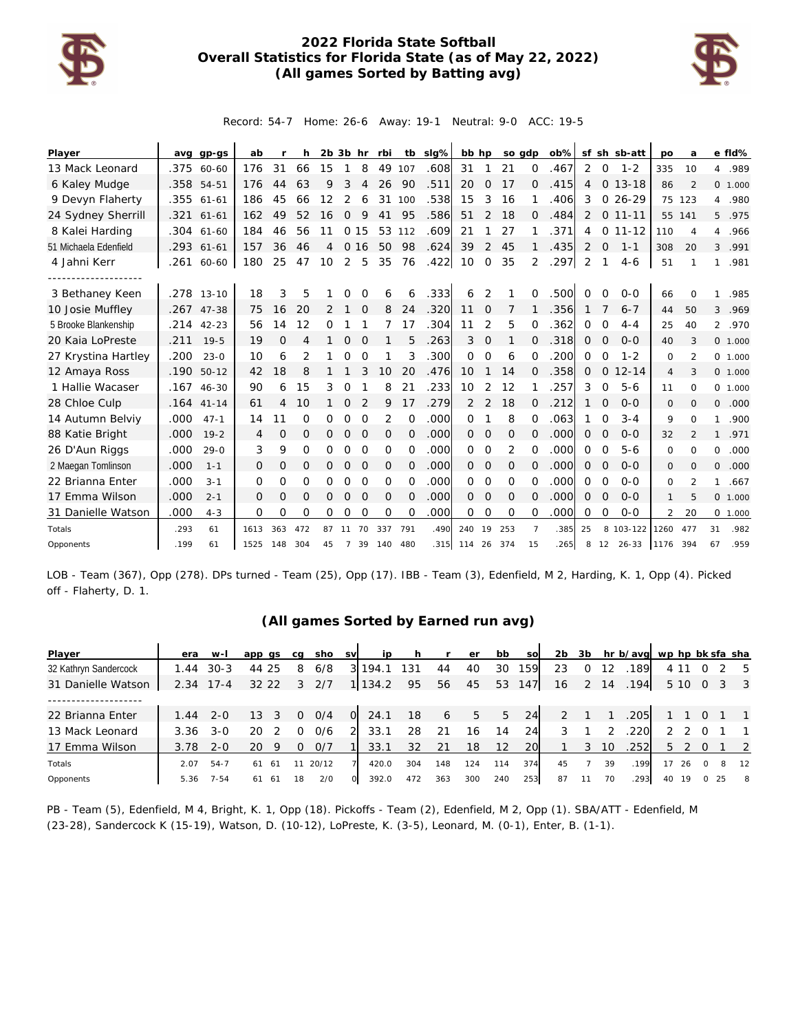

## **2022 Florida State Softball Overall Statistics for Florida State (as of May 22, 2022) (All games Sorted by Batting avg)**



Record: 54-7 Home: 26-6 Away: 19-1 Neutral: 9-0 ACC: 19-5

| Player                |      | avg gp-gs    | ab   |                | h        | $2b$ $3b$ hr |                |          | rbi         |          | tb sig% | bb hp    |               | so gdp        |                | ob%  |                |                | sf sh sb-att | po             | a              |                | e fld%   |
|-----------------------|------|--------------|------|----------------|----------|--------------|----------------|----------|-------------|----------|---------|----------|---------------|---------------|----------------|------|----------------|----------------|--------------|----------------|----------------|----------------|----------|
| 13 Mack Leonard       | .375 | 60-60        | 176  | 31             | 66       | 15           | 1              | 8        | 49          | 107      | .608    | 31       |               | 21            | 0              | .467 | 2              | $\circ$        | $1 - 2$      | 335            | 10             | 4              | .989     |
| 6 Kaley Mudge         | .358 | $54 - 51$    | 176  | 44             | 63       | 9            | 3              | 4        | 26          | 90       | .511    | 20       | 0             | 17            | 0              | .415 | 4              | $\overline{O}$ | $13 - 18$    | 86             | 2              |                | 0 1.000  |
| 9 Devyn Flaherty      | .355 | $61 - 61$    | 186  | 45             | 66       | 12           | 2              | 6        | 31          | 100      | .538    | 15       | 3             | 16            |                | .406 | 3              |                | $026-29$     |                | 75 123         | $\overline{4}$ | .980     |
| 24 Sydney Sherrill    |      | .321 61-61   | 162  | 49             | 52       | 16           | $\Omega$       | 9        | 41          | 95       | .586    | 51       | 2             | 18            | 0              | .484 | 2              |                | $0$ 11-11    |                | 55 141         |                | 5.975    |
| 8 Kalei Harding       |      | .304 61-60   | 184  | 46             | 56       | 11           |                | 0 15     | 53          | 112      | .609    | 21       |               | 27            |                | .371 | 4              | $\circ$        | $11 - 12$    | 110            | 4              | 4              | .966     |
| 51 Michaela Edenfield |      | .293 61-61   | 157  | 36             | 46       | 4            | $\circ$        | 16       | 50          | 98       | .624    | 39       | 2             | 45            |                | .435 | 2              | $\mathbf 0$    | $1 - 1$      | 308            | 20             | $\mathcal{E}$  | .991     |
| 4 Jahni Kerr          | .261 | 60-60        | 180  | 25             | 47       | 10           | 2              | 5        | 35          | 76       | .422    | 10       | $\Omega$      | 35            | 2              | .297 | 2              |                | $4 - 6$      | 51             |                | 1              | .981     |
|                       |      |              |      |                |          |              |                |          |             |          |         |          |               |               |                |      |                |                |              |                |                |                |          |
| 3 Bethaney Keen       |      | .278 13-10   | 18   | 3              | 5        |              | O              |          | 6           | 6        | .333    | 6        | 2             |               | 0              | .500 | $\Omega$       | O              | $0 - 0$      | 66             | $\Omega$       | 1              | .985     |
| 10 Josie Muffley      | .267 | $47 - 38$    | 75   | 16             | 20       | 2            |                | $\Omega$ | 8           | 24       | .320    | 11       | $\Omega$      | 7             |                | .356 |                |                | $6 - 7$      | 44             | 50             | 3              | .969     |
| 5 Brooke Blankenship  |      | $.214$ 42-23 | 56   | 14             | 12       | O            |                |          |             | 17       | .304    | 11       | 2             | 5             | Ω              | .362 | 0              | 0              | $4 - 4$      | 25             | 40             | $\overline{2}$ | .970     |
| 20 Kaia LoPreste      | .211 | $19 - 5$     | 19   | $\overline{O}$ | 4        | 1            | $\mathcal{O}$  | $\Omega$ |             | 5        | .263    | 3        | $\mathcal{O}$ | 1             | 0              | .318 | 0              | $\circ$        | $0 - 0$      | 40             | 3              |                | 0 1.000  |
| 27 Krystina Hartley   | .200 | $23 - 0$     | 10   | 6              | 2        |              | 0              | $\Omega$ |             | 3        | .300    | $\Omega$ | $\Omega$      | 6             | $\Omega$       | .200 | 0              | $\Omega$       | $1 - 2$      | $\Omega$       | $\mathcal{P}$  |                | 0, 1,000 |
| 12 Amaya Ross         | .190 | $50 - 12$    | 42   | 18             | 8        |              |                | 3        | 10          | 20       | .476    | 10       |               | 14            | $\Omega$       | .358 | 0              | $\Omega$       | $12 - 14$    | $\overline{4}$ | 3              |                | 0 1.000  |
| 1 Hallie Wacaser      | .167 | $46 - 30$    | 90   | 6              | 15       | 3            | O              |          | 8           | 21       | .233    | 10       | 2             | 12            |                | .257 | 3              | $\Omega$       | $5 - 6$      | 11             | $\Omega$       |                | 0, 1,000 |
| 28 Chloe Culp         | .164 | $41 - 14$    | 61   | 4              | 10       |              | 0              | 2        | 9           | 17       | .279    | 2        | 2             | 18            | 0              | .212 | 1              | O              | $O-O$        | 0              | $\Omega$       | 0              | .000     |
| 14 Autumn Belviy      | .000 | $47 - 1$     | 14   | 11             | $\Omega$ | Ω            | 0              | $\Omega$ | 2           | $\Omega$ | .000    | $\Omega$ |               | 8             | $\Omega$       | .063 | 1              | $\Omega$       | $3 - 4$      | 9              | $\Omega$       | 1              | .900     |
| 88 Katie Bright       | .000 | $19 - 2$     | 4    | $\circ$        | 0        | 0            | $\mathbf 0$    | 0        | 0           | $\Omega$ | .000    | $\Omega$ | 0             | 0             | $\Omega$       | .000 | 0              | O              | $0 - 0$      | 32             | $\overline{2}$ | $\mathbf{1}$   | .971     |
| 26 D'Aun Riggs        | .000 | $29 - 0$     | 3    | 9              | $\Omega$ | 0            | 0              | $\circ$  | $\mathbf 0$ | $\Omega$ | .000    | $\Omega$ | 0             | 2             | 0              | .000 | 0              | $\Omega$       | $5 - 6$      | 0              | $\Omega$       | 0              | .000     |
| 2 Maegan Tomlinson    | .000 | $1 - 1$      | 0    | $\circ$        | 0        | 0            | $\overline{O}$ | $\circ$  | 0           | $\Omega$ | .000    | $\Omega$ | $\mathcal{O}$ | $\mathcal{O}$ | $\Omega$       | .000 | 0              | $\circ$        | $0 - 0$      | 0              | $\Omega$       | 0              | .000     |
| 22 Brianna Enter      | .000 | $3 - 1$      | 0    | 0              | 0        | 0            | 0              | $\Omega$ | $\mathbf 0$ | $\Omega$ | .000    | $\Omega$ | 0             | 0             | $\Omega$       | .000 | 0              | $\mathcal{O}$  | $O-O$        | 0              | 2              | $\mathbf{1}$   | .667     |
| 17 Emma Wilson        | .000 | $2 - 1$      | 0    | $\circ$        | 0        | 0            | $\overline{O}$ | $\Omega$ | $\mathbf 0$ | $\Omega$ | .000    | $\Omega$ | 0             | $\mathcal{O}$ | $\Omega$       | .000 | $\overline{O}$ | $\Omega$       | $0 - 0$      | $\mathbf{1}$   | 5              |                | 0, 1,000 |
| 31 Danielle Watson    | .000 | $4 - 3$      | 0    | 0              | Ω        | 0            | 0              | $\Omega$ | $\Omega$    | $\Omega$ | .000    | 0        | $\Omega$      | $\Omega$      | $\Omega$       | .000 | 0              | 0              | $0 - 0$      | 2              | 20             |                | 0 1.000  |
| Totals                | .293 | 61           | 1613 | 363            | 472      | 87           | 11             | 70       | 337         | 791      | .490    | 240      | 19            | 253           | $\overline{7}$ | .385 | 25             |                | 8 103-122    | 1260           | 477            | 31             | .982     |
| Opponents             | .199 | 61           | 1525 | 148            | 304      | 45           | $\overline{7}$ | 39       | 140         | 480      | 315     | 114      | 26            | 374           | 15             | 265  | 8              | 12             | $26 - 33$    | 1176           | 394            | 67             | .959     |

LOB - Team (367), Opp (278). DPs turned - Team (25), Opp (17). IBB - Team (3), Edenfield, M 2, Harding, K. 1, Opp (4). Picked off - Flaherty, D. 1.

## **(All games Sorted by Earned run avg)**

| Player                | era  | w-l      | app qs   | ca | sho   | <b>SV</b> | ip            | h   |     | er  | bb  | <b>SO</b> | 2b | 3b |    | hr b/avg wp hp bk sfa sha |    |        |          |     |                            |
|-----------------------|------|----------|----------|----|-------|-----------|---------------|-----|-----|-----|-----|-----------|----|----|----|---------------------------|----|--------|----------|-----|----------------------------|
| 32 Kathryn Sandercock | 1.44 | $30-3$   | 44 25    | 8  | 6/8   | 31        | 194.1         | 131 | 44  | 40  | 30  | 159       | 23 |    | 12 | 189                       |    | 411    |          |     | - 5                        |
| 31 Danielle Watson    | 2.34 | $17 - 4$ | 32 22    | 3  | 2/7   |           | 1 1 1 3 4 . 2 | 95  | 56  | 45  | 53  | 147       | 16 | 2  | 14 | .194                      |    | 5 10 0 |          | - 3 | $\overline{\phantom{a}}$ 3 |
|                       |      |          |          |    |       |           |               |     |     |     |     |           |    |    |    |                           |    |        |          |     |                            |
| 22 Brianna Enter      | 1.44 | $2 - 0$  | 13<br>3  | 0  | 0/4   | $\Omega$  | 24.1          | 18  | 6   | 5   | 5   | 24        | 2  |    |    | .205                      |    |        | $\Omega$ |     | $\overline{1}$             |
| 13 Mack Leonard       | 3.36 | $3 - 0$  | 20       |    | 0/6   |           | 33.1          | 28  | -21 | 16  | 14  | 24        | 3  |    |    | .220                      |    |        |          |     |                            |
| 17 Emma Wilson        | 3.78 | $2 - 0$  | 20       |    | 0/7   |           | 33.1          | 32  | 21  | 18  | 12  | 20        |    | 3  | 10 | .252                      | 5  | 2 0    |          |     | $\overline{2}$             |
| Totals                | 2.07 | $54 - 7$ | 61<br>61 |    | 20/12 |           | 420.0         | 304 | 148 | 124 | 114 | 374       | 45 |    | 39 | .199                      | 17 | 26     | $\Omega$ |     | 12                         |
| Opponents             | 5.36 | $7 - 54$ | 61<br>61 | 18 | 2/0   | $\Omega$  | 392.0         | 472 | 363 | 300 | 240 | 253       | 87 | 11 | 70 | .293                      | 40 | 19     |          | 25  | 8                          |

PB - Team (5), Edenfield, M 4, Bright, K. 1, Opp (18). Pickoffs - Team (2), Edenfield, M 2, Opp (1). SBA/ATT - Edenfield, M (23-28), Sandercock K (15-19), Watson, D. (10-12), LoPreste, K. (3-5), Leonard, M. (0-1), Enter, B. (1-1).